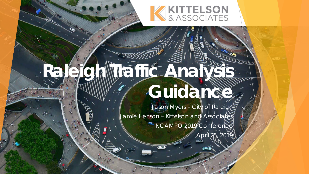

# Raleigh Mraifić Analysis 1 **Guidance**

Jason Myers - City of Raleigh Jamie Henson – Kittelson and Associates NCAMPO 2019 Conference

April 25, 2019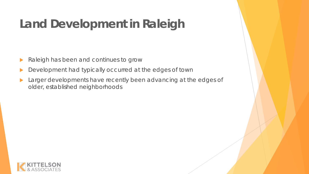# **Land Development in Raleigh**

- Raleigh has been and continues to grow
- Development had typically occurred at the edges of town
- **Larger developments have recently been advancing at the edges of** older, established neighborhoods

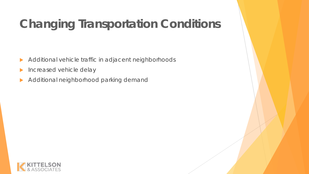# **Changing Transportation Conditions**

- Additional vehicle traffic in adjacent neighborhoods
- **Increased vehicle delay**
- Additional neighborhood parking demand

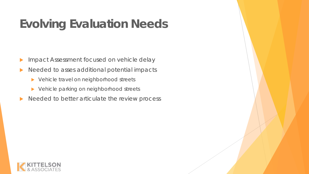# **Evolving Evaluation Needs**

- **Impact Assessment focused on vehicle delay**
- Needed to asses additional potential impacts
	- ▶ Vehicle travel on neighborhood streets
	- ▶ Vehicle parking on neighborhood streets
- $\blacktriangleright$  Needed to better articulate the review process

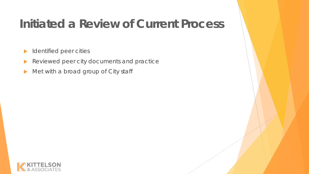## **Initiated a Review of Current Process**

- **IDENTIFIED PEER CITIES**
- Reviewed peer city documents and practice
- Met with a broad group of City staff

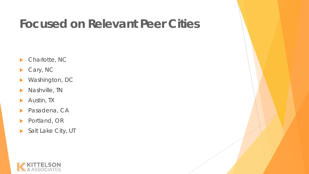#### **Focused on Relevant Peer Cities**

- ▶ Charlotte, NC
- Cary, NC
- Washington, DC
- **Nashville, TN**
- **Austin, TX**
- **Pasadena, CA**
- ▶ Portland, OR
- Salt Lake City, UT

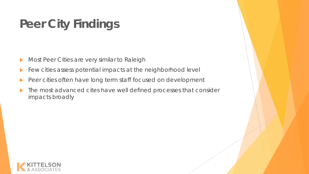# **Peer City Findings**

- Most Peer Cities are very similar to Raleigh
- Few cities assess potential impacts at the neighborhood level
- Peer cities often have long term staff focused on development
- $\blacktriangleright$  The most advanced cites have well defined processes that consider impacts broadly

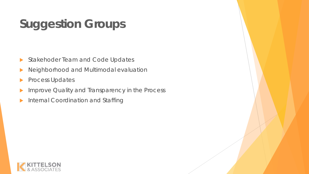# **Suggestion Groups**

- Stakehoder Team and Code Updates
- Neighborhood and Multimodal evaluation
- **Process Updates**
- Improve Quality and Transparency in the Process
- Internal Coordination and Staffing

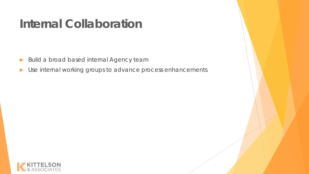#### **Internal Collaboration**

- **Build a broad based internal Agency team**
- Use internal working groups to advance process enhancements

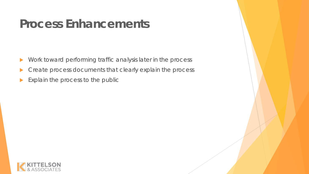#### **Process Enhancements**

- **Nork toward performing traffic analysis later in the process**
- **Create process documents that clearly explain the process**
- Explain the process to the public

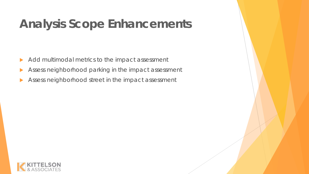## **Analysis Scope Enhancements**

- Add multimodal metrics to the impact assessment
- Assess neighborhood parking in the impact assessment
- Assess neighborhood street in the impact assessment

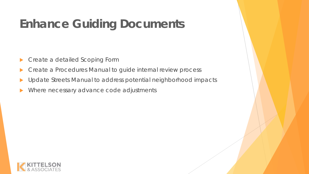# **Enhance Guiding Documents**

- ▶ Create a detailed Scoping Form
- Create a Procedures Manual to guide internal review process
- Update Streets Manual to address potential neighborhood impacts
- Where necessary advance code adjustments

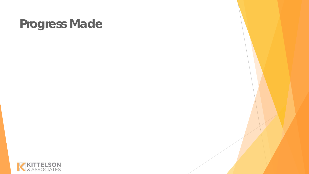#### **Progress Made**

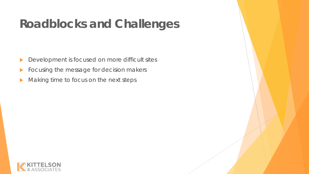## **Roadblocks and Challenges**

- **Development is focused on more difficult sites**
- **Focusing the message for decision makers**
- Making time to focus on the next steps

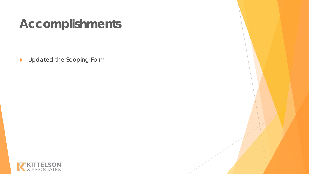## **Accomplishments**

Dependence the Scoping Form

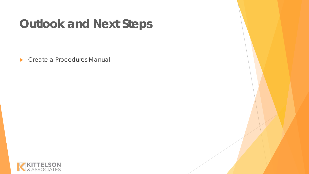## **Outlook and Next Steps**

▶ Create a Procedures Manual